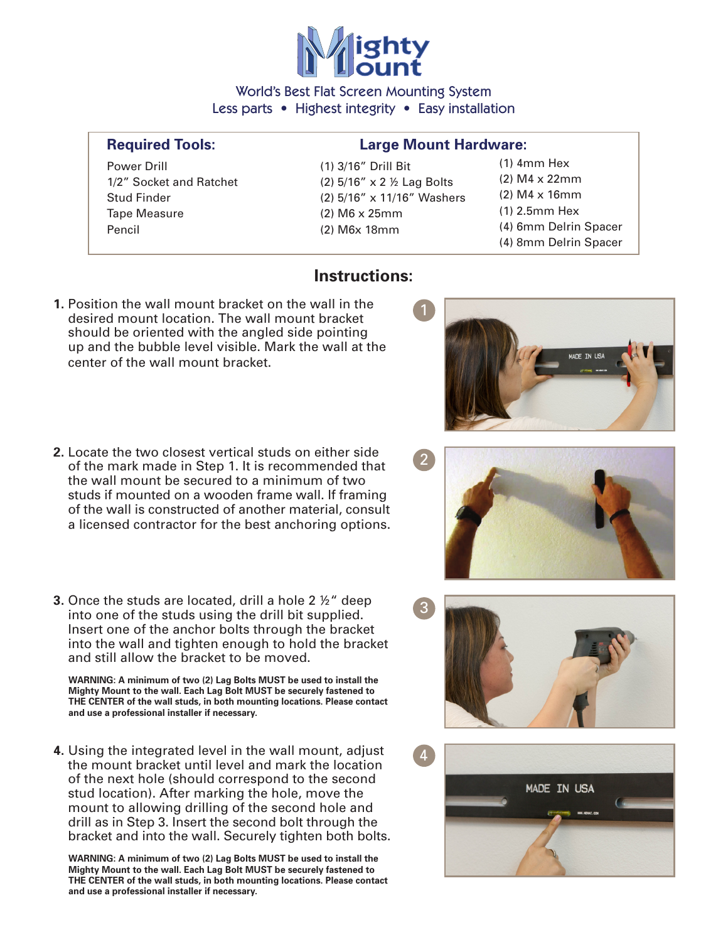

World's Best Flat Screen Mounting System Less parts • Highest integrity • Easy installation

Power Drill (1) 3/16" Drill Bit 1/2" Socket and Ratchet (2)  $5/16$ " x 2  $\frac{1}{2}$  Lag Bolts Tape Measure (2) M6 x 25mm Pencil (2) M6x 18mm

## **Required Tools: Large Mount Hardware:**

Stud Finder (2) 5/16" x 11/16" Washers

(1) 4mm Hex (2) M4 x 22mm (2) M4 x 16mm (1) 2.5mm Hex (4) 6mm Delrin Spacer (4) 8mm Delrin Spacer

## **Instructions:**

- **1.** Position the wall mount bracket on the wall in the desired mount location. The wall mount bracket should be oriented with the angled side pointing up and the bubble level visible. Mark the wall at the center of the wall mount bracket.
- **2.** Locate the two closest vertical studs on either side of the mark made in Step 1. It is recommended that the wall mount be secured to a minimum of two studs if mounted on a wooden frame wall. If framing of the wall is constructed of another material, consult a licensed contractor for the best anchoring options.
- **3.** Once the studs are located, drill a hole 2 ½" deep into one of the studs using the drill bit supplied. Insert one of the anchor bolts through the bracket into the wall and tighten enough to hold the bracket and still allow the bracket to be moved.

 **WARNING: A minimum of two (2) Lag Bolts MUST be used to install the Mighty Mount to the wall. Each Lag Bolt MUST be securely fastened to THE CENTER of the wall studs, in both mounting locations. Please contact and use a professional installer if necessary.** 

**4.** Using the integrated level in the wall mount, adjust the mount bracket until level and mark the location of the next hole (should correspond to the second stud location). After marking the hole, move the mount to allowing drilling of the second hole and drill as in Step 3. Insert the second bolt through the bracket and into the wall. Securely tighten both bolts.

 **WARNING: A minimum of two (2) Lag Bolts MUST be used to install the Mighty Mount to the wall. Each Lag Bolt MUST be securely fastened to THE CENTER of the wall studs, in both mounting locations. Please contact and use a professional installer if necessary.**